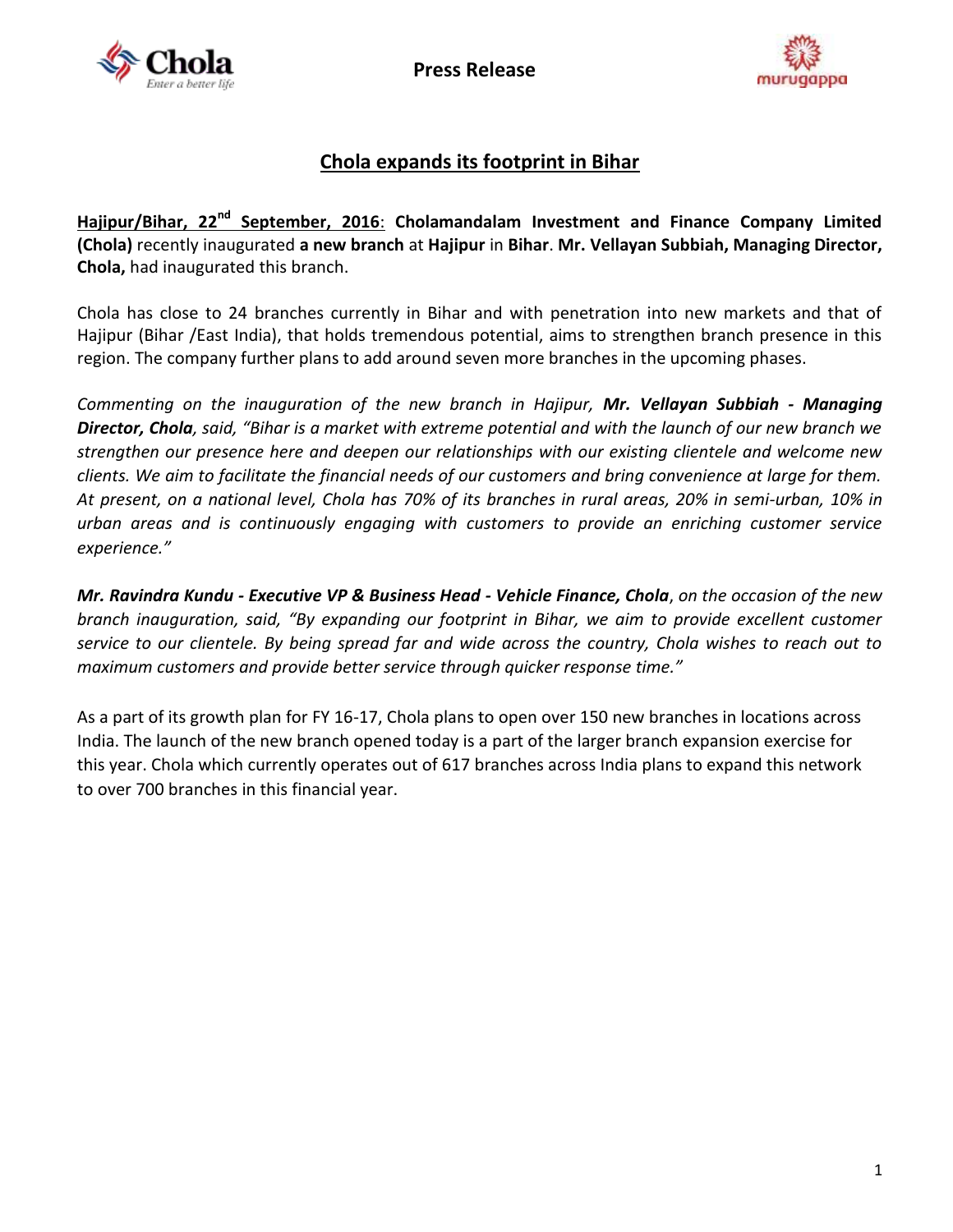





## **Chola expands its footprint in Bihar**

Hajipur/Bihar, 22<sup>nd</sup> September, 2016: Cholamandalam Investment and Finance Company Limited **(Chola)** recently inaugurated **a new branch** at **Hajipur** in **Bihar**. **Mr. Vellayan Subbiah, Managing Director, Chola,** had inaugurated this branch.

Chola has close to 24 branches currently in Bihar and with penetration into new markets and that of Hajipur (Bihar /East India), that holds tremendous potential, aims to strengthen branch presence in this region. The company further plans to add around seven more branches in the upcoming phases.

*Commenting on the inauguration of the new branch in Hajipur, Mr. Vellayan Subbiah - Managing Director, Chola, said, "Bihar is a market with extreme potential and with the launch of our new branch we strengthen our presence here and deepen our relationships with our existing clientele and welcome new clients. We aim to facilitate the financial needs of our customers and bring convenience at large for them. At present, on a national level, Chola has 70% of its branches in rural areas, 20% in semi-urban, 10% in urban areas and is continuously engaging with customers to provide an enriching customer service experience."*

*Mr. Ravindra Kundu - Executive VP & Business Head - Vehicle Finance, Chola*, *on the occasion of the new branch inauguration, said, "By expanding our footprint in Bihar, we aim to provide excellent customer service to our clientele. By being spread far and wide across the country, Chola wishes to reach out to maximum customers and provide better service through quicker response time."*

As a part of its growth plan for FY 16-17, Chola plans to open over 150 new branches in locations across India. The launch of the new branch opened today is a part of the larger branch expansion exercise for this year. Chola which currently operates out of 617 branches across India plans to expand this network to over 700 branches in this financial year.